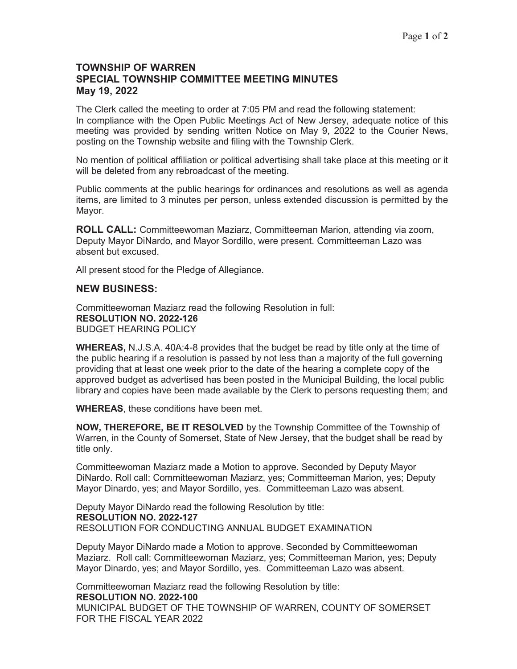#### **TOWNSHIP OF WARREN SPECIAL TOWNSHIP COMMITTEE MEETING MINUTES May 19, 2022**

The Clerk called the meeting to order at 7:05 PM and read the following statement: In compliance with the Open Public Meetings Act of New Jersey, adequate notice of this meeting was provided by sending written Notice on May 9, 2022 to the Courier News, posting on the Township website and filing with the Township Clerk.

No mention of political affiliation or political advertising shall take place at this meeting or it will be deleted from any rebroadcast of the meeting.

Public comments at the public hearings for ordinances and resolutions as well as agenda items, are limited to 3 minutes per person, unless extended discussion is permitted by the Mayor.

**ROLL CALL:** Committeewoman Maziarz, Committeeman Marion, attending via zoom, Deputy Mayor DiNardo, and Mayor Sordillo, were present. Committeeman Lazo was absent but excused.

All present stood for the Pledge of Allegiance.

#### **NEW BUSINESS:**

Committeewoman Maziarz read the following Resolution in full: **RESOLUTION NO. 2022-126**  BUDGET HEARING POLICY

**WHEREAS,** N.J.S.A. 40A:4-8 provides that the budget be read by title only at the time of the public hearing if a resolution is passed by not less than a majority of the full governing providing that at least one week prior to the date of the hearing a complete copy of the approved budget as advertised has been posted in the Municipal Building, the local public library and copies have been made available by the Clerk to persons requesting them; and

**WHEREAS**, these conditions have been met.

**NOW, THEREFORE, BE IT RESOLVED** by the Township Committee of the Township of Warren, in the County of Somerset, State of New Jersey, that the budget shall be read by title only.

Committeewoman Maziarz made a Motion to approve. Seconded by Deputy Mayor DiNardo. Roll call: Committeewoman Maziarz, yes; Committeeman Marion, yes; Deputy Mayor Dinardo, yes; and Mayor Sordillo, yes. Committeeman Lazo was absent.

Deputy Mayor DiNardo read the following Resolution by title: **RESOLUTION NO. 2022-127**  RESOLUTION FOR CONDUCTING ANNUAL BUDGET EXAMINATION

Deputy Mayor DiNardo made a Motion to approve. Seconded by Committeewoman Maziarz. Roll call: Committeewoman Maziarz, yes; Committeeman Marion, yes; Deputy Mayor Dinardo, yes; and Mayor Sordillo, yes. Committeeman Lazo was absent.

Committeewoman Maziarz read the following Resolution by title: **RESOLUTION NO. 2022-100** 

MUNICIPAL BUDGET OF THE TOWNSHIP OF WARREN, COUNTY OF SOMERSET FOR THE FISCAL YEAR 2022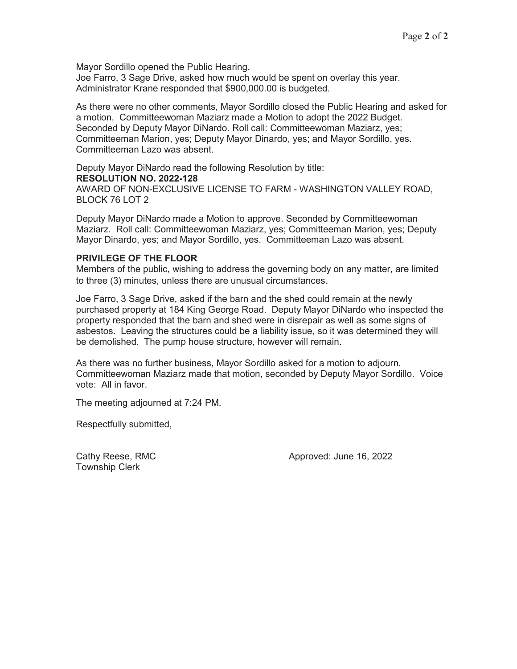Mayor Sordillo opened the Public Hearing.

Joe Farro, 3 Sage Drive, asked how much would be spent on overlay this year. Administrator Krane responded that \$900,000.00 is budgeted.

As there were no other comments, Mayor Sordillo closed the Public Hearing and asked for a motion.Committeewoman Maziarz made a Motion to adopt the 2022 Budget. Seconded by Deputy Mayor DiNardo. Roll call: Committeewoman Maziarz, yes; Committeeman Marion, yes; Deputy Mayor Dinardo, yes; and Mayor Sordillo, yes. Committeeman Lazo was absent.

Deputy Mayor DiNardo read the following Resolution by title: **RESOLUTION NO. 2022-128**  AWARD OF NON-EXCLUSIVE LICENSE TO FARM - WASHINGTON VALLEY ROAD, BLOCK 76 LOT 2

Deputy Mayor DiNardo made a Motion to approve. Seconded by Committeewoman Maziarz. Roll call: Committeewoman Maziarz, yes; Committeeman Marion, yes; Deputy Mayor Dinardo, yes; and Mayor Sordillo, yes. Committeeman Lazo was absent.

#### **PRIVILEGE OF THE FLOOR**

Members of the public, wishing to address the governing body on any matter, are limited to three (3) minutes, unless there are unusual circumstances.

Joe Farro, 3 Sage Drive, asked if the barn and the shed could remain at the newly purchased property at 184 King George Road. Deputy Mayor DiNardo who inspected the property responded that the barn and shed were in disrepair as well as some signs of asbestos. Leaving the structures could be a liability issue, so it was determined they will be demolished. The pump house structure, however will remain.

As there was no further business, Mayor Sordillo asked for a motion to adjourn. Committeewoman Maziarz made that motion, seconded by Deputy Mayor Sordillo. Voice vote: All in favor.

The meeting adjourned at 7:24 PM.

Respectfully submitted,

Township Clerk

Cathy Reese, RMC **Cathy Reese, RMC** Approved: June 16, 2022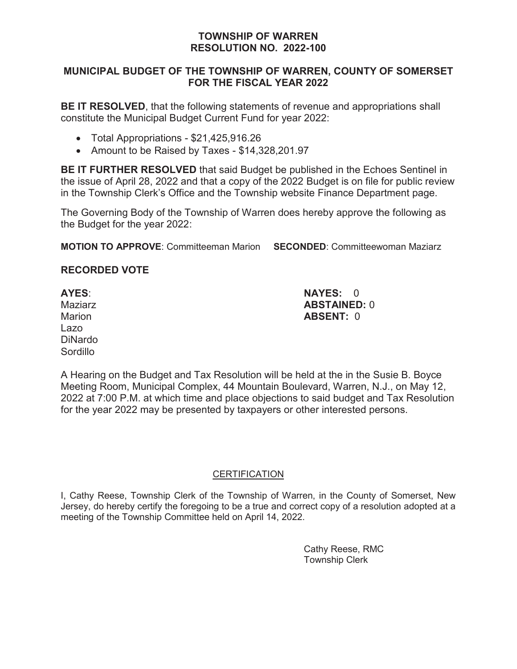## **TOWNSHIP OF WARREN RESOLUTION NO. 2022-100**

# **MUNICIPAL BUDGET OF THE TOWNSHIP OF WARREN, COUNTY OF SOMERSET FOR THE FISCAL YEAR 2022**

**BE IT RESOLVED**, that the following statements of revenue and appropriations shall constitute the Municipal Budget Current Fund for year 2022:

- Total Appropriations \$21,425,916.26
- Amount to be Raised by Taxes \$14,328,201.97

**BE IT FURTHER RESOLVED** that said Budget be published in the Echoes Sentinel in the issue of April 28, 2022 and that a copy of the 2022 Budget is on file for public review in the Township Clerk's Office and the Township website Finance Department page.

The Governing Body of the Township of Warren does hereby approve the following as the Budget for the year 2022:

**MOTION TO APPROVE**: Committeeman Marion **SECONDED**: Committeewoman Maziarz

# **RECORDED VOTE**

Lazo DiNardo **Sordillo** 

**AYES**: **NAYES:** 0 Maziarz **ABSTAINED:** 0 Marion **ABSENT:** 0

A Hearing on the Budget and Tax Resolution will be held at the in the Susie B. Boyce Meeting Room, Municipal Complex, 44 Mountain Boulevard, Warren, N.J., on May 12, 2022 at 7:00 P.M. at which time and place objections to said budget and Tax Resolution for the year 2022 may be presented by taxpayers or other interested persons.

### **CERTIFICATION**

I, Cathy Reese, Township Clerk of the Township of Warren, in the County of Somerset, New Jersey, do hereby certify the foregoing to be a true and correct copy of a resolution adopted at a meeting of the Township Committee held on April 14, 2022.

> Cathy Reese, RMC Township Clerk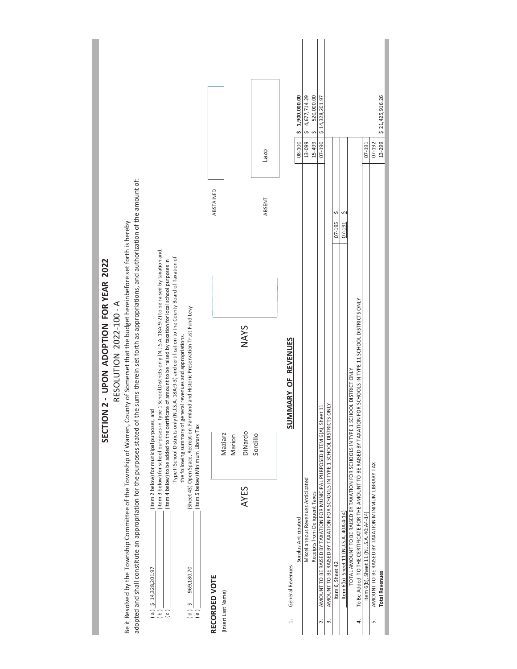|                                    |                         |                                                                                                                                         |                                                                                                                                                            |                                            |                                                                                                                    |                                                                                                                                                                                                                        |                                      |                                                                                       |                                    |               |                    |        |             |          | Lazo   |                            | \$1,900,000.00<br>08-100 | 4,677,714.29<br>13-099             | 520,000.00<br>S<br>15-499     | \$14,328,201.97<br>$07 - 190$                                               |                                                                             |                  |                                        |                                                                                  |                                                                                                                     | $07-191$                               | 07-192                                                    | \$21,425,916.26<br>13-299 |  |
|------------------------------------|-------------------------|-----------------------------------------------------------------------------------------------------------------------------------------|------------------------------------------------------------------------------------------------------------------------------------------------------------|--------------------------------------------|--------------------------------------------------------------------------------------------------------------------|------------------------------------------------------------------------------------------------------------------------------------------------------------------------------------------------------------------------|--------------------------------------|---------------------------------------------------------------------------------------|------------------------------------|---------------|--------------------|--------|-------------|----------|--------|----------------------------|--------------------------|------------------------------------|-------------------------------|-----------------------------------------------------------------------------|-----------------------------------------------------------------------------|------------------|----------------------------------------|----------------------------------------------------------------------------------|---------------------------------------------------------------------------------------------------------------------|----------------------------------------|-----------------------------------------------------------|---------------------------|--|
|                                    |                         |                                                                                                                                         |                                                                                                                                                            |                                            |                                                                                                                    |                                                                                                                                                                                                                        |                                      |                                                                                       |                                    | ABSTAINED     |                    |        |             |          | ABSENT |                            |                          |                                    |                               |                                                                             |                                                                             | Ş<br>07-195      | 07-191                                 |                                                                                  |                                                                                                                     |                                        |                                                           |                           |  |
|                                    |                         |                                                                                                                                         |                                                                                                                                                            |                                            |                                                                                                                    |                                                                                                                                                                                                                        |                                      |                                                                                       |                                    |               |                    |        |             |          |        |                            |                          |                                    |                               |                                                                             |                                                                             |                  |                                        |                                                                                  |                                                                                                                     |                                        |                                                           |                           |  |
| ON 2 - UPON ADOPTION FOR YEAR 2022 | RESOLUTION 2022-100 - A | Be it Resolved by the Township Committee of the Township of Warren, County of Somerset that the budget hereinbefore set forth is hereby | adopted and shall constitute an appropriation for the purposes stated of the sums therein set forth as appropriations, and authorization of the amount of: |                                            | (item 3 below) for school purposes in Type 1 School Districts only (NJ.S.A. 18A:9-2) to be raised by taxation and, | Type II School Districts only (N.J.S.A. 18A:9-3) and certification to the County Board of Taxation of<br>(item 4 below) to be added to the certificate of amount to be raised by taxation for local school purposes in | general revenues and appropriations. | (Sheet 43) Open Space, Recreation, Farmland and Historic Preservation Trust Fund Levy |                                    |               |                    |        | <b>NAYS</b> |          |        | <b>SUMMARY OF REVENUES</b> |                          |                                    |                               |                                                                             |                                                                             |                  |                                        |                                                                                  | To Be Added TO THE CERTIFICATE FOR THE AMOUNT TO BE RAISED BY TAXATION FOR SCHOOLS IN TYPE 11 SCHOOL DISTRICTS ONLY |                                        |                                                           |                           |  |
| <b>SECTI</b>                       |                         |                                                                                                                                         |                                                                                                                                                            | (item 2 below) for municipal purposes, and |                                                                                                                    |                                                                                                                                                                                                                        | the following summary of             |                                                                                       | (item 5 below) Minimum Library Tax |               | Maziarz            | Marion | DiNardo     | Sordillo |        |                            |                          |                                    |                               | AMOUNT TO BE RAISED BY TAXATION FOR MUNICIPAL PURPOSED (ITEM 6(A), Sheet 11 | AMOUNT TO BE RAISED BY TAXATION FOR SCHOOLS IN TYPE 1 SCHOOL DISTRICTS ONLY |                  |                                        | TOTAL AMOUNT TO BE RAISED BY TAXATION FOR SCHOOLS IN TYPE 1 SCHOOL DISTRICT ONLY |                                                                                                                     |                                        |                                                           |                           |  |
|                                    |                         |                                                                                                                                         |                                                                                                                                                            |                                            |                                                                                                                    |                                                                                                                                                                                                                        |                                      |                                                                                       |                                    |               |                    |        | <b>AYES</b> |          |        |                            | Surplus Anticipated      | Miscellaneous Revenues Anticipated | Receipts from Deliquent Taxes |                                                                             |                                                                             |                  |                                        |                                                                                  |                                                                                                                     |                                        |                                                           |                           |  |
|                                    |                         |                                                                                                                                         |                                                                                                                                                            | $(a)$ \$ 14,328,201.97                     | $\overline{e}$                                                                                                     | $\overline{c}$                                                                                                                                                                                                         |                                      | 969,180.70<br>$\zeta$ (d)                                                             | (e)                                | RECORDED VOTE | (Insert Last Name) |        |             |          |        | General Revenues<br>$\div$ |                          |                                    |                               | $\dot{\sim}$                                                                | ന്                                                                          | Item 6, Sheet 42 | Item 6(b) Sheet 11 (N.J.S.A. 40A:4-14) |                                                                                  | 4.                                                                                                                  | Item 6(b), Sheet 11 (NJ.S.A. 40:A4-14) | AMOUNT TO BE RAISED BY TAXATION MINIMUM LIBRARY TAX<br>۱n | <b>Total Revenues</b>     |  |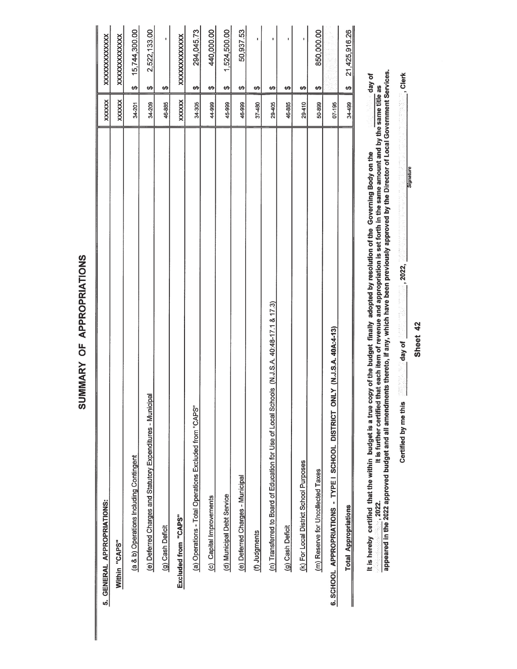| 5. GENERAL APPROPRIATIONS:                                                                  | <b>XXXXXX</b> | XXXXXXXXXXXX                   |
|---------------------------------------------------------------------------------------------|---------------|--------------------------------|
| Within "CAPS"                                                                               | <b>XXXXXX</b> | XXXXXXXXXXXX                   |
| (a & b) Operations Including Contingent                                                     | 34-201        | 15,744,300.00<br>↮             |
| jpal<br>(e) Deferred Charges and Statutory Expenditures - Munici                            | 34-209        | 2,522,133.00<br>↮              |
| (g) Cash Deficit                                                                            | 46-885        | ı<br>မာ                        |
| Excluded from "CAPS"                                                                        | XXXXXX        | XXXXXXXXXXXX                   |
| (a) Operations - Total Operations Excluded from "CAPS"                                      | 34-305        | 294,045.73<br>မာ               |
| (c) Capital Improvements                                                                    | 44-999        | 440,000.00<br>↮                |
| (d) Municipal Debt Service                                                                  | 45-999        | 1,524,500.00<br>↮              |
| (e) Deferred Charges - Municipal                                                            | 46-999        | 50,937.53<br>↮                 |
| (f) Judgments                                                                               | 37-480        | ı<br>↮                         |
| (n) Transferred to Board of Education for Use of Local Schools (N.J.S.A. 40:48-17.1 & 17.3) | 29-405        | ٠<br>↮                         |
| (g) Cash Deficit                                                                            | 46-885        | ı<br>↮                         |
| (k) For Local District School Purposes                                                      | $29 - 410$    | ↮                              |
| (m) Reserve for Uncollected Taxes                                                           | 50-899        | 850,000.00<br>↮                |
| NLY (N.J.S.A. 40A:4-13)<br>6. SCHOOL APPROPRIATIONS - TYPE I SCHOOL DISTRICT O              | $07 - 195$    |                                |
| <b>Total Appropriations</b>                                                                 | 34-499        | 21,425,916.26<br>$\frac{6}{5}$ |
|                                                                                             |               |                                |

It is hereby certified that the within budget is a true copy of the budget finally adopted by resolution of the Governing Body on the correction of the same and the same the same title as appeared in the 2022. It is furth

Sheet 42

 $\frac{1}{2}$  day of

Certified by me this

, Clerk

Signature

 $\frac{1}{2022}$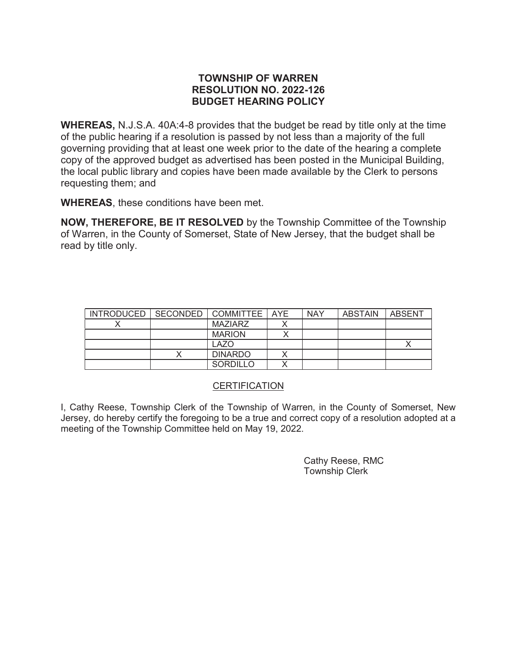## **TOWNSHIP OF WARREN RESOLUTION NO. 2022-126 BUDGET HEARING POLICY**

**WHEREAS,** N.J.S.A. 40A:4-8 provides that the budget be read by title only at the time of the public hearing if a resolution is passed by not less than a majority of the full governing providing that at least one week prior to the date of the hearing a complete copy of the approved budget as advertised has been posted in the Municipal Building, the local public library and copies have been made available by the Clerk to persons requesting them; and

**WHEREAS**, these conditions have been met.

**NOW, THEREFORE, BE IT RESOLVED** by the Township Committee of the Township of Warren, in the County of Somerset, State of New Jersey, that the budget shall be read by title only.

| INTRODUCED   SECONDED   COMMITTEE   AYE |                  | <b>NAY</b> | <b>ABSTAIN</b> | ABSENT |
|-----------------------------------------|------------------|------------|----------------|--------|
|                                         | MAZIARZ          |            |                |        |
|                                         | <b>MARION</b>    |            |                |        |
|                                         | LAZ <sub>O</sub> |            |                |        |
|                                         | <b>DINARDO</b>   |            |                |        |
|                                         | <b>SORDILLO</b>  |            |                |        |

### **CERTIFICATION**

I, Cathy Reese, Township Clerk of the Township of Warren, in the County of Somerset, New Jersey, do hereby certify the foregoing to be a true and correct copy of a resolution adopted at a meeting of the Township Committee held on May 19, 2022.

> Cathy Reese, RMC Township Clerk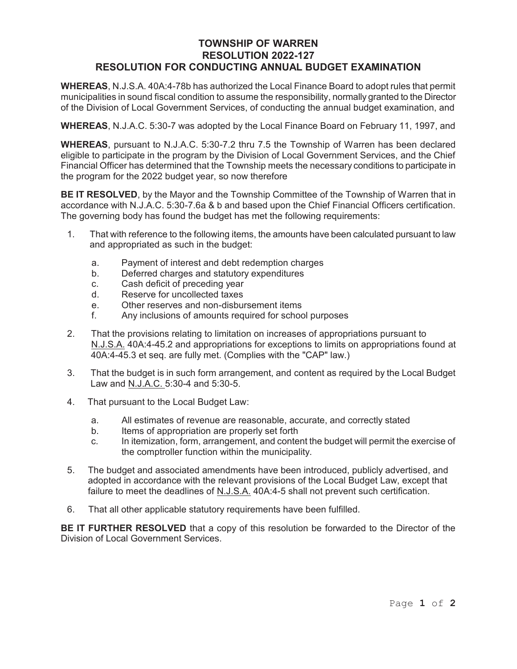## **TOWNSHIP OF WARREN RESOLUTION 2022-127 RESOLUTION FOR CONDUCTING ANNUAL BUDGET EXAMINATION**

**WHEREAS**, N.J.S.A. 40A:4-78b has authorized the Local Finance Board to adopt rules that permit municipalities in sound fiscal condition to assume the responsibility, normally granted to the Director of the Division of Local Government Services, of conducting the annual budget examination, and

**WHEREAS**, N.J.A.C. 5:30-7 was adopted by the Local Finance Board on February 11, 1997, and

**WHEREAS**, pursuant to N.J.A.C. 5:30-7.2 thru 7.5 the Township of Warren has been declared eligible to participate in the program by the Division of Local Government Services, and the Chief Financial Officer has determined that the Township meets the necessary conditions to participate in the program for the 2022 budget year, so now therefore

**BE IT RESOLVED**, by the Mayor and the Township Committee of the Township of Warren that in accordance with N.J.A.C. 5:30-7.6a & b and based upon the Chief Financial Officers certification. The governing body has found the budget has met the following requirements:

- 1. That with reference to the following items, the amounts have been calculated pursuant to law and appropriated as such in the budget:
	- a. Payment of interest and debt redemption charges
	- b. Deferred charges and statutory expenditures
	- c. Cash deficit of preceding year
	- d. Reserve for uncollected taxes
	- e. Other reserves and non-disbursement items
	- f. Any inclusions of amounts required for school purposes
- 2. That the provisions relating to limitation on increases of appropriations pursuant to N.J.S.A. 40A:4-45.2 and appropriations for exceptions to limits on appropriations found at 40A:4-45.3 et seq. are fully met. (Complies with the "CAP" law.)
- 3. That the budget is in such form arrangement, and content as required by the Local Budget Law and N.J.A.C. 5:30-4 and 5:30-5.
- 4. That pursuant to the Local Budget Law:
	- a. All estimates of revenue are reasonable, accurate, and correctly stated
	- b. Items of appropriation are properly set forth
	- c. In itemization, form, arrangement, and content the budget will permit the exercise of the comptroller function within the municipality.
- 5. The budget and associated amendments have been introduced, publicly advertised, and adopted in accordance with the relevant provisions of the Local Budget Law, except that failure to meet the deadlines of N.J.S.A. 40A:4-5 shall not prevent such certification.
- 6. That all other applicable statutory requirements have been fulfilled.

**BE IT FURTHER RESOLVED** that a copy of this resolution be forwarded to the Director of the Division of Local Government Services.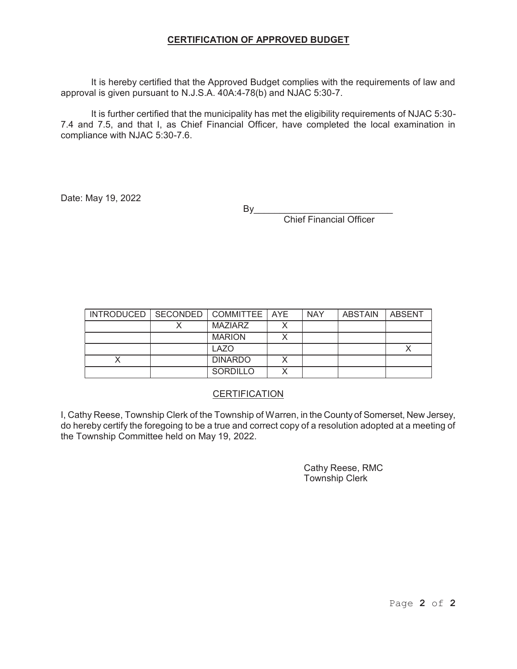#### **CERTIFICATION OF APPROVED BUDGET**

It is hereby certified that the Approved Budget complies with the requirements of law and approval is given pursuant to N.J.S.A. 40A:4-78(b) and NJAC 5:30-7.

It is further certified that the municipality has met the eligibility requirements of NJAC 5:30- 7.4 and 7.5, and that I, as Chief Financial Officer, have completed the local examination in compliance with NJAC 5:30-7.6.

Date: May 19, 2022

 $By$ 

Chief Financial Officer

| INTRODUCED   SECONDED   COMMITTEE   AYE |                 | <b>NAY</b> | ABSTAIN | <b>LABSENT</b> |
|-----------------------------------------|-----------------|------------|---------|----------------|
|                                         | <b>MAZIARZ</b>  |            |         |                |
|                                         | <b>MARION</b>   |            |         |                |
|                                         | <b>LAZO</b>     |            |         |                |
|                                         | <b>DINARDO</b>  |            |         |                |
|                                         | <b>SORDILLO</b> |            |         |                |

### **CERTIFICATION**

I, Cathy Reese, Township Clerk of the Township of Warren, in the County of Somerset, New Jersey, do hereby certify the foregoing to be a true and correct copy of a resolution adopted at a meeting of the Township Committee held on May 19, 2022.

> Cathy Reese, RMC Township Clerk